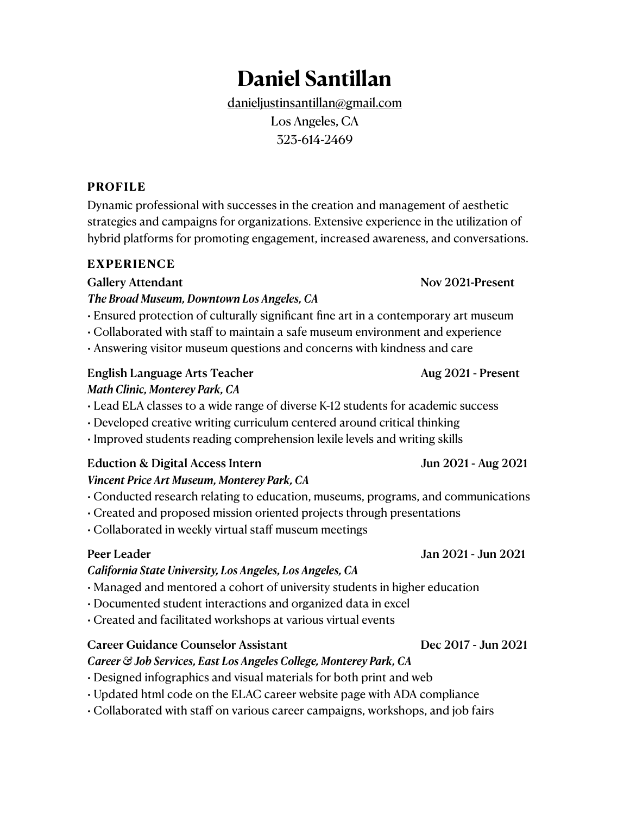# **Daniel Santillan**

[danieljustinsantillan@gmail.com](mailto:danieljustinsantillan@gmail.com) Los Angeles, CA 323-614-2469

## **PROFILE**

Dynamic professional with successes in the creation and management of aesthetic strategies and campaigns for organizations. Extensive experience in the utilization of hybrid platforms for promoting engagement, increased awareness, and conversations.

### **EXPERIENCE**

Gallery Attendant **Nov 2021-Present** 

*The Broad Museum, Downtown Los Angeles, CA*

• Ensured protection of culturally significant fine art in a contemporary art museum

• Collaborated with staff to maintain a safe museum environment and experience

• Answering visitor museum questions and concerns with kindness and care

## English Language Arts Teacher Aug 2021 - Present *Math Clinic, Monterey Park, CA*

• Lead ELA classes to a wide range of diverse K-12 students for academic success

• Developed creative writing curriculum centered around critical thinking

• Improved students reading comprehension lexile levels and writing skills

## Eduction & Digital Access Intern Jun 2021 - Aug 2021

## *Vincent Price Art Museum, Monterey Park, CA*

- Conducted research relating to education, museums, programs, and communications
- Created and proposed mission oriented projects through presentations
- Collaborated in weekly virtual staff museum meetings

## *California State University, Los Angeles, Los Angeles, CA*

- Managed and mentored a cohort of university students in higher education
- Documented student interactions and organized data in excel
- Created and facilitated workshops at various virtual events

## Career Guidance Counselor Assistant Dec 2017 - Jun 2021

### *Career & Job Services, East Los Angeles College, Monterey Park, CA*

• Designed infographics and visual materials for both print and web

- Updated html code on the ELAC career website page with ADA compliance
- Collaborated with staff on various career campaigns, workshops, and job fairs

## Peer Leader Jan 2021 - Jun 2021